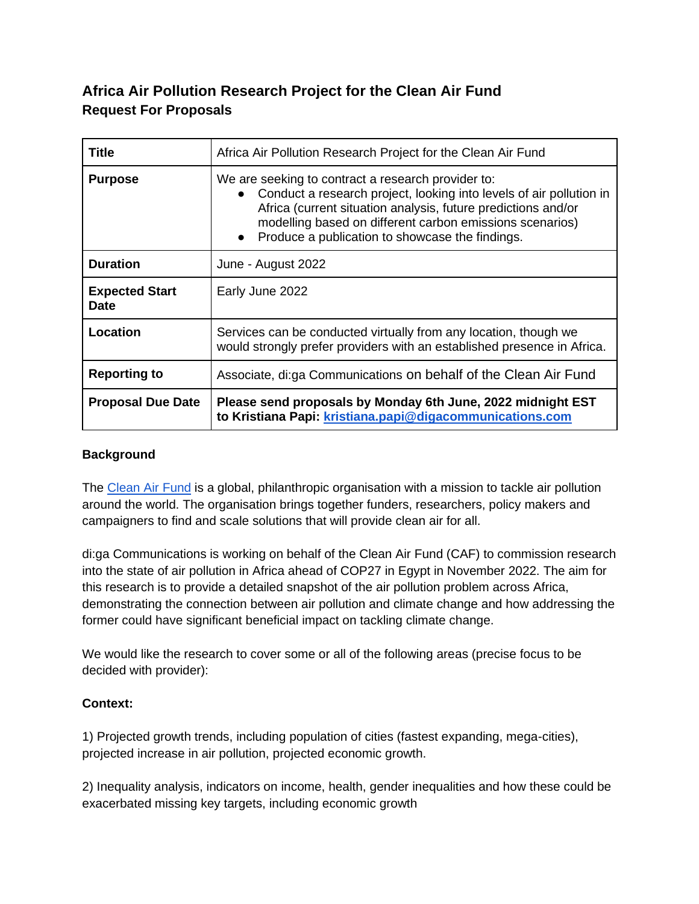# **Africa Air Pollution Research Project for the Clean Air Fund Request For Proposals**

| Title                                | Africa Air Pollution Research Project for the Clean Air Fund                                                                                                                                                                                                                                              |
|--------------------------------------|-----------------------------------------------------------------------------------------------------------------------------------------------------------------------------------------------------------------------------------------------------------------------------------------------------------|
| <b>Purpose</b>                       | We are seeking to contract a research provider to:<br>Conduct a research project, looking into levels of air pollution in<br>Africa (current situation analysis, future predictions and/or<br>modelling based on different carbon emissions scenarios)<br>Produce a publication to showcase the findings. |
| <b>Duration</b>                      | June - August 2022                                                                                                                                                                                                                                                                                        |
| <b>Expected Start</b><br><b>Date</b> | Early June 2022                                                                                                                                                                                                                                                                                           |
| Location                             | Services can be conducted virtually from any location, though we<br>would strongly prefer providers with an established presence in Africa.                                                                                                                                                               |
| <b>Reporting to</b>                  | Associate, di:ga Communications on behalf of the Clean Air Fund                                                                                                                                                                                                                                           |
| <b>Proposal Due Date</b>             | Please send proposals by Monday 6th June, 2022 midnight EST<br>to Kristiana Papi: kristiana.papi@digacommunications.com                                                                                                                                                                                   |

#### **Background**

The [Clean Air Fund](https://www.cleanairfund.org/) is a global, philanthropic organisation with a mission to tackle air pollution around the world. The organisation brings together funders, researchers, policy makers and campaigners to find and scale solutions that will provide clean air for all.

di:ga Communications is working on behalf of the Clean Air Fund (CAF) to commission research into the state of air pollution in Africa ahead of COP27 in Egypt in November 2022. The aim for this research is to provide a detailed snapshot of the air pollution problem across Africa, demonstrating the connection between air pollution and climate change and how addressing the former could have significant beneficial impact on tackling climate change.

We would like the research to cover some or all of the following areas (precise focus to be decided with provider):

#### **Context:**

1) Projected growth trends, including population of cities (fastest expanding, mega-cities), projected increase in air pollution, projected economic growth.

2) Inequality analysis, indicators on income, health, gender inequalities and how these could be exacerbated missing key targets, including economic growth